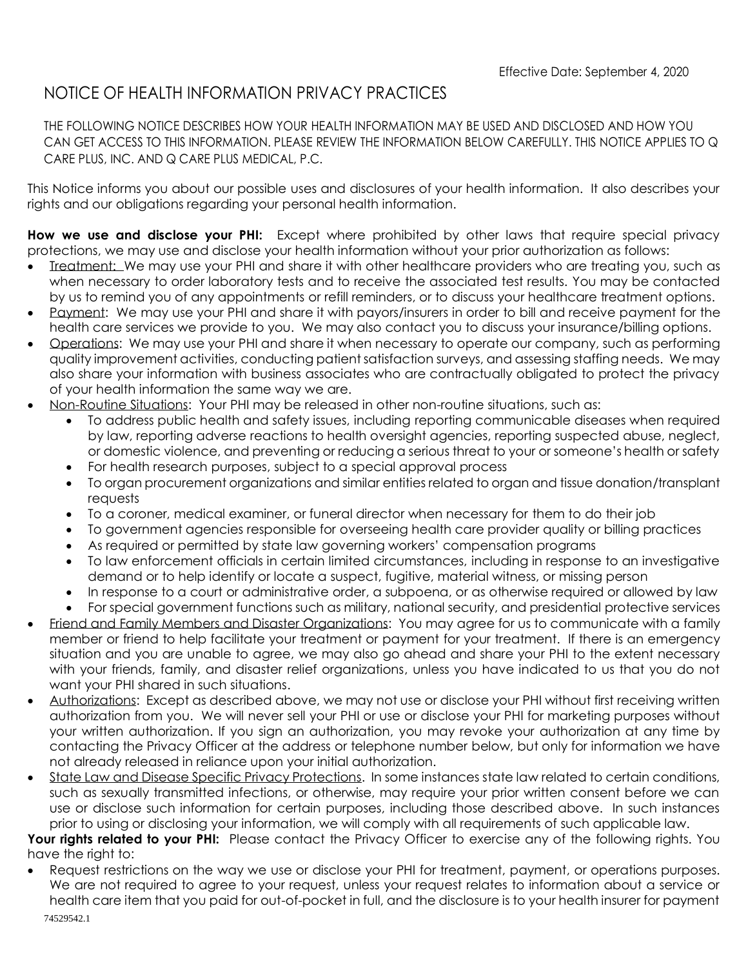## NOTICE OF HEALTH INFORMATION PRIVACY PRACTICES

THE FOLLOWING NOTICE DESCRIBES HOW YOUR HEALTH INFORMATION MAY BE USED AND DISCLOSED AND HOW YOU CAN GET ACCESS TO THIS INFORMATION. PLEASE REVIEW THE INFORMATION BELOW CAREFULLY. THIS NOTICE APPLIES TO Q CARE PLUS, INC. AND Q CARE PLUS MEDICAL, P.C.

This Notice informs you about our possible uses and disclosures of your health information. It also describes your rights and our obligations regarding your personal health information.

**How we use and disclose your PHI:** Except where prohibited by other laws that require special privacy protections, we may use and disclose your health information without your prior authorization as follows:

- Ireatment: We may use your PHI and share it with other healthcare providers who are treating you, such as when necessary to order laboratory tests and to receive the associated test results. You may be contacted by us to remind you of any appointments or refill reminders, or to discuss your healthcare treatment options.
- Payment: We may use your PHI and share it with payors/insurers in order to bill and receive payment for the health care services we provide to you. We may also contact you to discuss your insurance/billing options.
- Operations: We may use your PHI and share it when necessary to operate our company, such as performing quality improvement activities, conducting patient satisfaction surveys, and assessing staffing needs. We may also share your information with business associates who are contractually obligated to protect the privacy of your health information the same way we are.
- Non-Routine Situations: Your PHI may be released in other non-routine situations, such as:
	- To address public health and safety issues, including reporting communicable diseases when required by law, reporting adverse reactions to health oversight agencies, reporting suspected abuse, neglect, or domestic violence, and preventing or reducing a serious threat to your or someone's health or safety
	- For health research purposes, subject to a special approval process
	- To organ procurement organizations and similar entities related to organ and tissue donation/transplant requests
	- To a coroner, medical examiner, or funeral director when necessary for them to do their job
	- To government agencies responsible for overseeing health care provider quality or billing practices
	- As required or permitted by state law governing workers' compensation programs
	- To law enforcement officials in certain limited circumstances, including in response to an investigative demand or to help identify or locate a suspect, fugitive, material witness, or missing person
	- In response to a court or administrative order, a subpoena, or as otherwise required or allowed by law
	- For special government functions such as military, national security, and presidential protective services
- Friend and Family Members and Disaster Organizations: You may agree for us to communicate with a family member or friend to help facilitate your treatment or payment for your treatment. If there is an emergency situation and you are unable to agree, we may also go ahead and share your PHI to the extent necessary with your friends, family, and disaster relief organizations, unless you have indicated to us that you do not want your PHI shared in such situations.
- Authorizations: Except as described above, we may not use or disclose your PHI without first receiving written authorization from you. We will never sell your PHI or use or disclose your PHI for marketing purposes without your written authorization. If you sign an authorization, you may revoke your authorization at any time by contacting the Privacy Officer at the address or telephone number below, but only for information we have not already released in reliance upon your initial authorization.
- State Law and Disease Specific Privacy Protections. In some instances state law related to certain conditions, such as sexually transmitted infections, or otherwise, may require your prior written consent before we can use or disclose such information for certain purposes, including those described above. In such instances prior to using or disclosing your information, we will comply with all requirements of such applicable law.

**Your rights related to your PHI:** Please contact the Privacy Officer to exercise any of the following rights. You have the right to:

• Request restrictions on the way we use or disclose your PHI for treatment, payment, or operations purposes. We are not required to agree to your request, unless your request relates to information about a service or health care item that you paid for out-of-pocket in full, and the disclosure is to your health insurer for payment